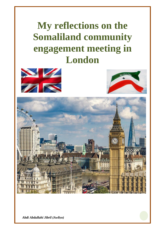# **My reflections on the Somaliland community engagement meeting in London**







*Abdi Abdullahi Jibril (Awliyo)*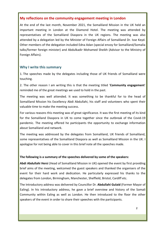#### **My reflections on the community engagement meeting in London**

At the end of the last month, November 2021, the Somaliland Mission in the UK held an important meeting in London at the Diamond Hotel. The meeting was attended by representatives of the Somaliland Diaspora in the UK regions. The meeting was also attended by a delegation led by the Minister of Foreign Affairs of Somaliland Dr. Isse Keyd. Other members of the delegation included Edna Adan (special envoy for Somaliland/Somalia talks/former foreign minister) and Abdulkadir Mohamed Sheikh (Advisor to the Ministry of Foreign Affairs).

#### **Why I write this summary**

1. The speeches made by the delegates including those of UK friends of Somaliland were touching.

2. The other reason I am writing this is that the meeting titled '**Community engagement**' reminded me of the great meetings we used to hold in the past.

The meeting was well attended. It was something to be thankful for to the head of Somaliland Mission his Excellency Abdi Abdullahi, his staff and volunteers who spent their valuable time to make the meeting success.

For various reasons this meeting was of great significance. It was the first meeting of its kind for the Somaliland Diaspora in UK to come together since the outbreak of the Covid-19 pandemic. The meeting offered he participants the opportunity to exchange information about Somaliland and network.

The meeting was addressed by the delegates from Somaliland, UK friends of Somaliland, some representatives of the Somaliland Diaspora as well as Somaliland Mission in the UK. I apologise for not being able to cover in this brief note all the speeches made.

#### **The following is a summary of the speeches delivered by some of the speakers:**

**Abdi Abdullahi Hersi** (Head of Somaliland Mission in UK) opened the event by first providing brief aims of the meeting, welcomed the guest speakers and thanked the organisers of the event for their hard work and dedication. He particularly expressed his thanks to the delegates from London, Birmingham, Manchester, Sheffield, Bristol, Cardiff etc.

The Introductory address was delivered by Councillor Dr. **Abdullahi Gulaid** (Former Mayor of Ealing). In his introductory address, he gave a brief overview and history of the Somali Community within Ealing as well as London. He then introduced to the floor the other speakers of the event in order to share their speeches with the participants.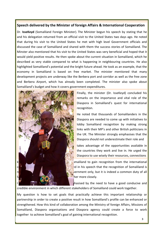#### **Speech delivered by the Minister of foreign Affairs & International Cooperation**

Dr. **IsseKeyd** (Somaliland Foreign Minister). The Minister begun his speech by stating that he and his delegation returned from an official visit to the United States two days ago. He noted that during his visit to the United States he met with high level Government officials and discussed the case of Somaliland and shared with them the success stories of Somaliland. The Minster also mentioned that his visit to the United States was very beneficial and hoped that it would yield positive results. He then spoke about the current situation in Somaliland, which he described as very stable compared to what is happening in neighbouring countries. He also highlighted Somaliland's potential and the bright future ahead. He took as an example, that the economy in Somaliland is based on free market. The minister mentioned that many development projects are underway like the Berbera port and corridor as well as the free zone and Berbera Airport, which has already been completed. The minister also spoke about Somaliland's budget and how it covers government expenditures.



Finally, the minister (Dr. IsseKeyd) concluded his remarks on the importance and vital role of the Diaspora in Somaliland's quest for international recognition.

He noted that thousands of Somalilanders in the Diaspora are needed to come up with initiatives to lobby Somaliland recognition by making strong links with their MP's and other British politicians in the UK. The Minister strongly emphasises that the Diaspora should not underestimate their role and

takes advantage of the opportunities available in the countries they work and live in. He urged the Diaspora to use wisely their resources, connections

omaliland to gain recognition from the international ed in his speech that the recognition of Somaliland is vernment only, but it is indeed a common duty of all her more closely.

I hasised by the need to have a good conducive and

credible environment in which different stakeholders of Somaliland could work together.

My question is how to set goals that practically achieve this important relationship or partnership in order to create a positive result in how Somaliland's profile can be enhanced or strengthened. How this kind of collaboration among the Ministry of foreign Affairs, Missions of Somaliland, Diaspora organisations and Diaspora agency could create a force to work together to achieve Somaliland's goal of gaining international recognition.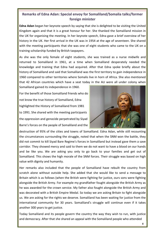# **Remarks of Edna Adan: Special envoy for Somaliland/Somalia talks/former foreign minister**

**Edna Adan** began her keynote speech by saying that she is delighted to be visiting the United Kingdom again and that it is a great honour for her. She thanked the Somaliland mission in the UK for organising the meeting. In her keynote speech, Edna gave a brief overview of her history in the UK. Her first arrival in the UK was in 1954 at the age of seventeen. She shared with the meeting participants that she was one of eight students who came to the UK on a training scholarship funded by British taxpayers.

As she was the only female of eight students, she was trained as a nurse midwife and returned to Somaliland in 1961, at a time when Somaliland desperately needed the knowledge and training that Edna had acquired. After that Edna spoke briefly about the history of Somaliland and said that Somaliland was the first territory to gain independence in 1960 compared to other territories where Somalis live in horn of Africa. She also mentioned that 42 African countries which have a seat today in the AU were all under colony when

For the benefit of those Somaliland friends who do not know the true history of Somaliland, Edna highlighted the History of Somaliland from 1981 to 1991. She shared with the meeting participants the oppression and genocide perpetrated by Siyad Barre's forces on the people of Somaliland and the

Somaliland gained its independence in 1960.



destruction of 95% of the cities and towns of Somaliland. Edna Adan, while still recounting the circumstances surrounding the struggle, noted that when the SNM won the battle, they did not commit to kill Siyad Bare Regime's forces in Somaliland but instead gave them a save corridor. They showed mercy and said to them we do not want to have a blood on our hands and be like you. We are asking you only to go back to your families and get out of Somaliland. This shows the high morale of the SNM forces. Their struggle was based on high value with dignity and humanity.

Her remarks also included that the people of Somaliland have rebuilt the country from scratch alone without outside help. She added that she would like to send a message to Britain which is as follows (when the British were fighting for justice, ours sons were fighting alongside the British Army. For example my grandfather fought alongside the British Army as he was awarded for the crown service. My father also fought alongside the British Army and was decorated with a British Empire Medal. So today we are asking Britain to fight alongside us. We are asking for the rights we deserve. Somaliland has been waiting for justice from the international community for 30 years. Somaliland's struggle will continue even if it takes another 300 years to get justice.

Today Somaliland and its people govern the country the way they wish to run, with justice and democracy. After that she shared an appeal with the Somaliland people who attended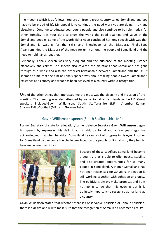the meeting which is as follows (You are all from a great country called Somaliland and you have to be proud of it). My appeal is to continue the good work you are doing in UK and elsewhere. Continue to educate your young people and also continue to be role models for other Somalis. It is your duty to show the world the good qualities and value of the Somaliland people. Some of the words Edna Adan concluded her long speech with was that Somaliland is waiting for the skills and knowledge of the Diaspora. Finally Edna Adan reminded the Diaspora of the need for unity among the people of Somaliland and the need to hold hands together.

Personally, Edna's speech was very eloquent and the audience of the meeting listened attentively and calmly. The speech also covered the situations that Somaliland has gone through as a whole and also the historical relationship between Somaliland and the UK. It seemed to me that the aim of Edna's speech was about making people aware Somaliland's existence as a country and what has been achieved as a country without recognition.

One of the other things that impressed me the most was the diversity and inclusion of the meeting. The meeting was also attended by some Somaliland's friends in the UK. Guest speakers included **Gavin Williamson**, South Staffordshire (MP), **Virendra Kumar** Sharma EalingSouthall (MP) and **Norman Baker.**

## **Gavin Williamson speech** (South Staffordshire MP)

Former Secretary of state for education/former defence Secretary **Gavin Williamson** began his speech by expressing his delight at his visit to Somaliland a few years ago. He acknowledged that when he visited Somaliland he saw a lot of progress in his eyes. In-order for Somaliland to overcome the challenges faced by the people of Somaliland, they had to have made great sacrifices.



Because of these sacrifices Somaliland become a country that is able to offer peace, stability and also created opportunities for so many people in Somaliland. Although Somaliland has not been recognised for 30 years, the nation is still working together with cohesion and unity. The politicians always make promises and I am not going to do that this evening but it is definitely important to recognise Somaliland as a country.

Gavin Williamson stated that whether there is Conservative politician or Labour politician, there is a desire and will to make sure that the recognition of Somaliland becomes a reality.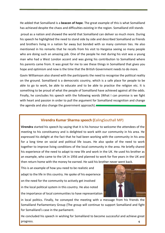He added that Somaliland is a **beacon of hope**. The great example of this is what Somaliland has achieved despite the chaos and difficulties existing in the region. Somaliland still stands

proud as a nation and showed the world that Somaliland can deliver so much more. During his speech he highlighted the need to stand side by side and described Somaliland as friends and brothers living in a nation far away but bonded with so many common ties. He also mentioned in his remarks that he recalls from his visit to Hargeisa seeing so many people who are doing such an amazing job. One of the people he met during his visit was a young man who had a West London accent and was giving his contribution to Somaliland where his parents came from. It was great for me to see these things in Somaliland that gives you hope and optimism and now is the time that the British Government needs to do more.

Gavin Williamson also shared with the participants the need to recognise the political reality on the ground. Somaliland is a democratic country, which is a safe place for people to be able to go to work, be able to educate and to be able to practice the religion etc. It is something to be proud of what the people of Somaliland have achieved against all the odds. Finally, he concludes his speech with the following words (What I can promise is we fight with heart and passion in order to pull the argument for Somaliland recognition and change the agenda and also change the government approach).

## **Virendra Kumar Sharma speech (**EalingSouthall MP)

**Virendra** started his speech by saying that it is his honour to welcome the attendees of the meeting to his constituency and is delighted to work with our community in his area. He expressed his delight at the fact that he had been working with the community in his area for a long time on social and political life issues. He also spoke of the need to work together to improve living conditions of the local community in the area. He briefly shared his experience of the need to adapt to new life and work in the UK. He used his brother as an example, who came to the UK in 1956 and planned to work for five years in the UK and then return home with the money he earned. He said his brother never went back.

This is an example of how you need to be realistic and adapt to the life in this country. He spoke of his experience on the need for the community to actively get involved in the local political system in this country. He also noted the importance of local communities to have representation



in local politics. Finally, he conveyed the meeting with a message from his friends the Somaliland Parliamentary Group (The group will continue to support Somaliland and fight for Somaliland's case in the parliament.

He concluded his speech in wishing for Somaliland to become successful and achieve great progress. **6**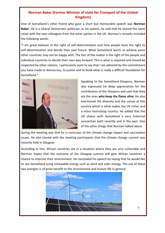## **Norman Baker (Former Minister of state for Transport of the United Kingdom)**

One of Somaliland's other friend who gave a short but memorable speech was **Norman Baker**. He is a Liberal Democratic politician. In his speech, he said that he shared the same views with the two colleagues from the other parties in the UK. Norman's remarks included the following words:

"I am great believer in the right of self-determination and how people have the right to self-determination and decide their own future. What Somaliland wants to achieve some other countries may not be happy with. The fact of the matter is the right of the people and individual countries to decide their own way forward. This is what is required and should be respected by other nations. I particularly want to say that I am admired by the commitment you have made to democracy, to justice and to build what is really a difficult foundation for Somaliland."



Speaking to the Somaliland Diaspora, Norman also expressed his deep appreciation for the contribution of the Diaspora and said that they are the ones **who keep the flame alive**. He also mentioned the diversity and the values of this country which is what makes the UK richer and a more interesting country. He added that the UK shares with Somaliland a very historical connection both recently and in the past. One of the other things that Norman talked about

during the meeting was that he is conscious of the climate change impact and vaccination issues. He also shared with the meeting participants that the climate change summit was recently held in Glasgow.

According to him, African countries are in a situation where they are very vulnerable and Norman hopes that the outcome of the Glasgow summit will give African countries a chance to improve their environment. He concluded his speech by saying that he would like to see Somaliland using renewable energy such as wind and solar energy. The use of these two energies is of great benefit to the environment and human life in general.

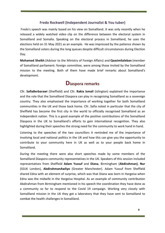#### **Fredo Rockwell (Independent Journalist & You tuber)**

Fredo's speech was mainly based on his view on Somaliland. It was only recently when he released a widely watched video clip on the difference between the electoral system in Somaliland and Somalia. Speaking on the electoral process in Somaliland, he uses the elections held on 31 May 2021 as an example. He was impressed by the patience shown by the Somaliland voters during the long queues despite difficult circumstances during Election Day.

**Mohamed Sheikh** (Advisor to the Ministry of Foreign Affairs) and **QaasimSaleban** (member of Somaliland parliament: foreign committee, were among those invited by the Somaliland mission to the meeting. Both of them have made brief remarks about Somaliland's development.

# **Diaspora remarks**

Cllr. **SafiaBerbarawi** (Sheffield) and Cllr. **Rakia Ismail** (islington) explained the importance and the role that the Somaliland Diaspora can play in recognising Somaliland as a sovereign country. They also emphasised the importance of working together for both Somaliland communities in the UK and those back home. Cllr. Safia noted in particular that the city of Sheffield has become the first city in the world to officially recognised Somaliland as an independent nation. This is a good example of the positive contributions of the Somaliland Diaspora in the UK to Somaliland's efforts to gain international recognition. They also highlighted during their speeches the strong need for the community to work hand in hand.

Listening to the speeches of the two councillors it reminded me of the importance of involving local and national politics in the UK and how this can give you the opportunity to contribute to your community here in UK as well as to your people back home in Somaliland.

During the meeting there were also short speeches made by some members of the Somaliland Diaspora community representatives in the UK. Speakers of this session included representatives from Sheffield **Adam Yussuf** and **Diana**, Birmingham (**Abdirahman)**, **Nur** (SSUK London), **AbdirahmanAwliyo** (Greater Manchester). Adam Yussuf from Sheffield shared Edna with an element of surprise, which was that Diana was born in Hargeisa when Edna was the midwife in the Hargeisa Hospital. As an example of community contribution Abdirahman from Birmingham mentioned in his speech the coordination they have done as a community so far to respond to the Covid 19 campaign. Working very closely with Somaliland mission in the UK they got a laboratory that they have sent to Somaliland to combat the health challenges in Somaliland.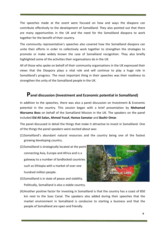The speeches made at the event were focused on how and ways the diaspora can contribute effectively to the development of Somaliland. They also pointed out that there are many opportunities in the UK and the need for the Somaliland diaspora to work together for the benefit of their country.

The community representative's speeches also covered how the Somaliland diaspora can unite their efforts in order to collectively work together to strengthen the strategies to promote or make widely known the case of Somaliland recognition. They also briefly highlighted some of the activities their organisations do in the UK.

All of those who spoke on behalf of their community organisations in the UK expressed their views that the Diaspora plays a vital role and will continue to play a huge role in Somaliland's progress. The most important thing in their speeches was their readiness to strengthen the unity of the Somaliland people in the UK.

# **Panel discussion (Investment and Economic potential in Somaliland)**

In addition to the speeches, there was also a panel discussion on Investment & Economic potential in the country. This session began with a brief presentation by **Mohamed Warsama Boss** on behalf of the Somaliland Mission in the UK. The speakers on the panel included **Eid Ali Salan, Ahmed Yusuf, Hamze Samatar** and **Bashir Omar**.

The panel discussed in detail the things that make it attractive to invest in Somaliland. One of the things the panel speakers were excited about was:

- (1)Somaliland's abundant natural resources and the country being one of the fastest growing developing country.
- (2)Somaliland is strategically located at the point connecting Asia, Europe and Africa and is a gateway to a number of landlocked countries such as Ethiopia with a market of over one hundred million people.
- (3)Somaliland is in state of peace and stability. Politically, Somaliland is also a stable country.



(4)Another positive factor for investing in Somaliland is that the country has a coast of 850 km next to the Suez Canal. The speakers also added during their speeches that the market environment in Somaliland is conducive to starting a business and that the people of Somaliland are open and friendly.